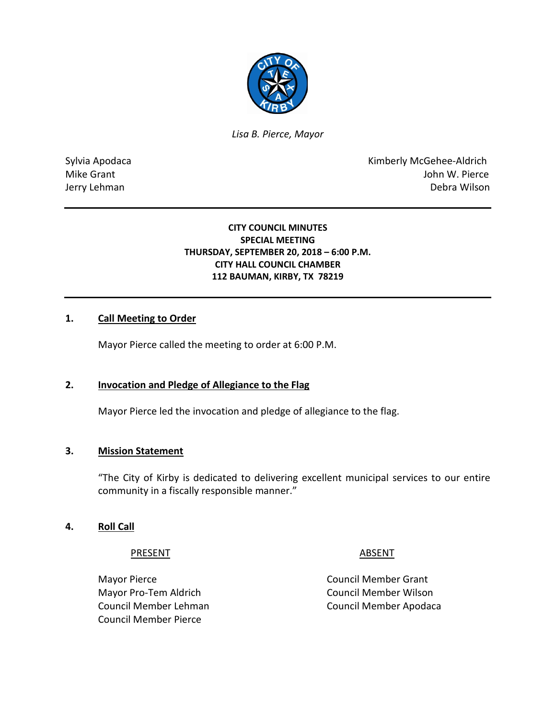

*Lisa B. Pierce, Mayor* 

Sylvia Apodaca **Kimberly McGehee-Aldrich** Mike Grant **Mike Grant** John W. Pierce Jerry Lehman Debra Wilson

# **CITY COUNCIL MINUTES SPECIAL MEETING THURSDAY, SEPTEMBER 20, 2018 – 6:00 P.M. CITY HALL COUNCIL CHAMBER 112 BAUMAN, KIRBY, TX 78219**

# **1. Call Meeting to Order**

Mayor Pierce called the meeting to order at 6:00 P.M.

# **2. Invocation and Pledge of Allegiance to the Flag**

Mayor Pierce led the invocation and pledge of allegiance to the flag.

# **3. Mission Statement**

"The City of Kirby is dedicated to delivering excellent municipal services to our entire community in a fiscally responsible manner."

# **4. Roll Call**

PRESENT ABSENT

Mayor Pro-Tem Aldrich Council Member Wilson Council Member Pierce

Mayor Pierce **Council Member Grant** Council Member Lehman Council Member Apodaca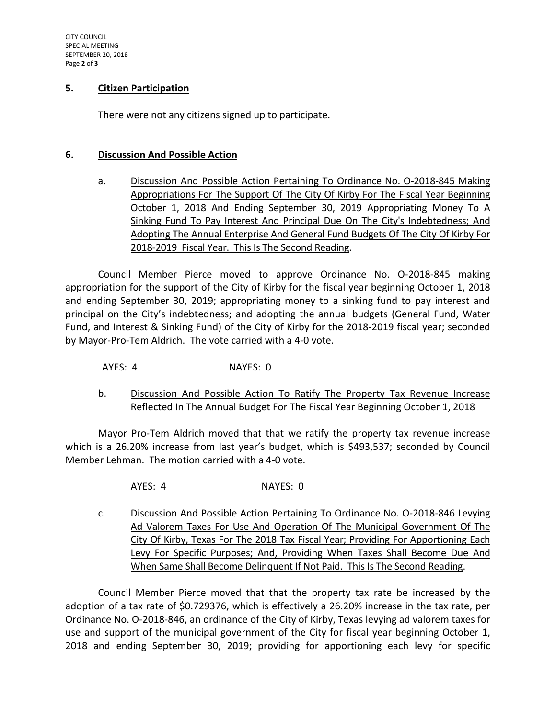## **5. Citizen Participation**

There were not any citizens signed up to participate.

#### **6. Discussion And Possible Action**

a. Discussion And Possible Action Pertaining To Ordinance No. O-2018-845 Making Appropriations For The Support Of The City Of Kirby For The Fiscal Year Beginning October 1, 2018 And Ending September 30, 2019 Appropriating Money To A Sinking Fund To Pay Interest And Principal Due On The City's Indebtedness; And Adopting The Annual Enterprise And General Fund Budgets Of The City Of Kirby For 2018-2019 Fiscal Year. This Is The Second Reading.

Council Member Pierce moved to approve Ordinance No. O-2018-845 making appropriation for the support of the City of Kirby for the fiscal year beginning October 1, 2018 and ending September 30, 2019; appropriating money to a sinking fund to pay interest and principal on the City's indebtedness; and adopting the annual budgets (General Fund, Water Fund, and Interest & Sinking Fund) of the City of Kirby for the 2018-2019 fiscal year; seconded by Mayor-Pro-Tem Aldrich. The vote carried with a 4-0 vote.

AYES: 4 NAYES: 0

b. Discussion And Possible Action To Ratify The Property Tax Revenue Increase Reflected In The Annual Budget For The Fiscal Year Beginning October 1, 2018

Mayor Pro-Tem Aldrich moved that that we ratify the property tax revenue increase which is a 26.20% increase from last year's budget, which is \$493,537; seconded by Council Member Lehman. The motion carried with a 4-0 vote.

AYES: 4 NAYES: 0

c. Discussion And Possible Action Pertaining To Ordinance No. O-2018-846 Levying Ad Valorem Taxes For Use And Operation Of The Municipal Government Of The City Of Kirby, Texas For The 2018 Tax Fiscal Year; Providing For Apportioning Each Levy For Specific Purposes; And, Providing When Taxes Shall Become Due And When Same Shall Become Delinquent If Not Paid. This Is The Second Reading.

Council Member Pierce moved that that the property tax rate be increased by the adoption of a tax rate of \$0.729376, which is effectively a 26.20% increase in the tax rate, per Ordinance No. O-2018-846, an ordinance of the City of Kirby, Texas levying ad valorem taxes for use and support of the municipal government of the City for fiscal year beginning October 1, 2018 and ending September 30, 2019; providing for apportioning each levy for specific